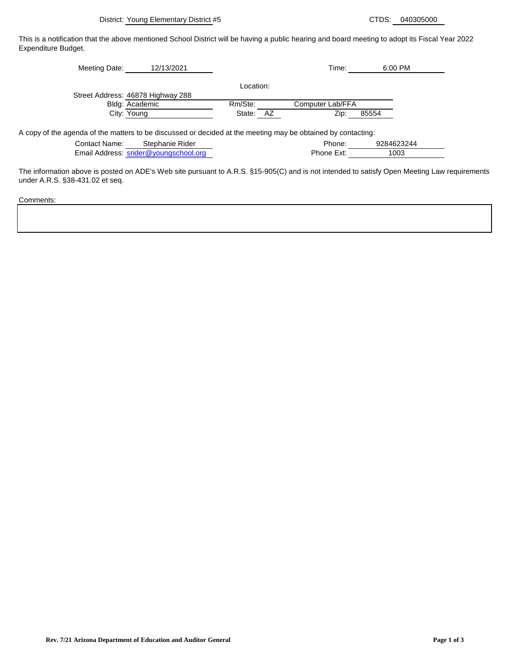1003

Phone Ext:

This is a notification that the above mentioned School District will be having a public hearing and board meeting to adopt its Fiscal Year 2022 Expenditure Budget.

| Meeting Date:                                                                                                | 12/13/2021                        |           |    | Time:            | 6:00 PM    |  |
|--------------------------------------------------------------------------------------------------------------|-----------------------------------|-----------|----|------------------|------------|--|
|                                                                                                              |                                   | Location: |    |                  |            |  |
|                                                                                                              | Street Address: 46878 Highway 288 |           |    |                  |            |  |
|                                                                                                              | Bldg: Academic                    | Rm/Ste:   |    | Computer Lab/FFA |            |  |
|                                                                                                              | City: Young                       | State:    | AZ | Zip:             | 85554      |  |
| A copy of the agenda of the matters to be discussed or decided at the meeting may be obtained by contacting: |                                   |           |    |                  |            |  |
| <b>Contact Name:</b>                                                                                         | Stephanie Rider                   |           |    | Phone:           | 9284623244 |  |

| Contact Name: | Stephanie Rider                       | Phone:     |
|---------------|---------------------------------------|------------|
|               | Email Address: srider@youngschool.org | Phone Ext: |

The information above is posted on ADE's Web site pursuant to A.R.S. §15-905(C) and is not intended to satisfy Open Meeting Law requirements under A.R.S. §38-431.02 et seq.

Comments: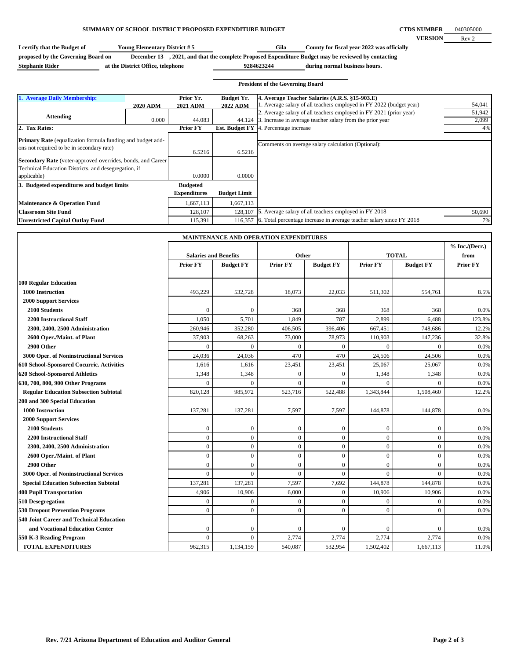## **SUMMARY OF SCHOOL DISTRICT PROPOSED EXPENDITURE BUDGET**

| I certify that the Budget of       | <b>Young Elementary District # 5</b> | Gila                                                                                    | County for fiscal year 2022 was officially |
|------------------------------------|--------------------------------------|-----------------------------------------------------------------------------------------|--------------------------------------------|
| proposed by the Governing Board on | December 13                          | , 2021, and that the complete Proposed Expenditure Budget may be reviewed by contacting |                                            |
| <b>Stephanie Rider</b>             | at the District Office, telephone    | 9284623244                                                                              | during normal business hours.              |

|                                                                                                                                                                                                                                                      |                 |                              |                                      | <b>President of the Governing Board</b>                                                                                         |                 |
|------------------------------------------------------------------------------------------------------------------------------------------------------------------------------------------------------------------------------------------------------|-----------------|------------------------------|--------------------------------------|---------------------------------------------------------------------------------------------------------------------------------|-----------------|
| 1. Average Daily Membership:                                                                                                                                                                                                                         | <b>2020 ADM</b> | Prior Yr.<br><b>2021 ADM</b> | <b>Budget Yr.</b><br><b>2022 ADM</b> | 4. Average Teacher Salaries (A.R.S. §15-903.E)<br>1. Average salary of all teachers employed in FY 2022 (budget year)           | 54,041          |
| <b>Attending</b>                                                                                                                                                                                                                                     | 0.000           | 44.083                       | 44.124                               | 2. Average salary of all teachers employed in FY 2021 (prior year)<br>3. Increase in average teacher salary from the prior year | 51,942<br>2,099 |
| 2. Tax Rates:                                                                                                                                                                                                                                        |                 | <b>Prior FY</b>              | <b>Est. Budget FY</b>                | 4. Percentage increase                                                                                                          | 4%              |
| <b>Primary Rate</b> (equalization formula funding and budget add-<br>ons not required to be in secondary rate)<br>Secondary Rate (voter-approved overrides, bonds, and Career<br>Technical Education Districts, and desegregation, if<br>applicable) |                 | 6.5216<br>0.0000             | 6.5216<br>0.0000                     | Comments on average salary calculation (Optional):                                                                              |                 |
| 3. Budgeted expenditures and budget limits                                                                                                                                                                                                           |                 | <b>Budgeted</b>              |                                      |                                                                                                                                 |                 |
|                                                                                                                                                                                                                                                      |                 | <b>Expenditures</b>          | <b>Budget Limit</b>                  |                                                                                                                                 |                 |
| Maintenance & Operation Fund                                                                                                                                                                                                                         |                 | 1,667,113                    | 1,667,113                            |                                                                                                                                 |                 |
| <b>Classroom Site Fund</b>                                                                                                                                                                                                                           |                 | 128,107                      | 128,107                              | 5. Average salary of all teachers employed in FY 2018                                                                           | 50,690          |
| <b>Unrestricted Capital Outlay Fund</b>                                                                                                                                                                                                              |                 | 115,391                      | 116,357                              | 6. Total percentage increase in average teacher salary since FY 2018                                                            | 7%              |

**Gila**

| <b>MAINTENANCE AND OPERATION EXPENDITURES</b> |                              |                    |                  |                  |                  |                  |                 |
|-----------------------------------------------|------------------------------|--------------------|------------------|------------------|------------------|------------------|-----------------|
|                                               |                              |                    |                  |                  |                  | % Inc. / (Decr.) |                 |
|                                               | <b>Salaries and Benefits</b> |                    | Other            |                  | <b>TOTAL</b>     |                  | from            |
|                                               | <b>Prior FY</b>              | <b>Budget FY</b>   | <b>Prior FY</b>  | <b>Budget FY</b> | <b>Prior FY</b>  | <b>Budget FY</b> | <b>Prior FY</b> |
| <b>100 Regular Education</b>                  |                              |                    |                  |                  |                  |                  |                 |
| <b>1000 Instruction</b>                       | 493,229                      |                    | 18,073           |                  |                  |                  |                 |
|                                               |                              | 532,728            |                  | 22,033           | 511,302          | 554,761          | 8.5%            |
| <b>2000 Support Services</b><br>2100 Students | $\theta$                     | $\mathbf{0}$       | 368              | 368              | 368              | 368              | 0.0%            |
| <b>2200 Instructional Staff</b>               | 1,050                        | 5,701              | 1,849            | 787              | 2,899            | 6,488            | 123.8%          |
|                                               | 260,946                      | 352,280            | 406,505          | 396,406          | 667,451          | 748,686          | 12.2%           |
| 2300, 2400, 2500 Administration               |                              |                    |                  |                  |                  |                  |                 |
| 2600 Oper./Maint. of Plant                    | 37,903<br>$\Omega$           | 68,263<br>$\theta$ | 73,000           | 78,973           | 110,903          | 147,236          | 32.8%           |
| 2900 Other                                    |                              |                    | $\Omega$         | $\mathbf{0}$     | $\mathbf{0}$     | $\Omega$         | 0.0%            |
| 3000 Oper. of Noninstructional Services       | 24,036                       | 24,036             | 470              | 470              | 24,506           | 24,506           | 0.0%            |
| 610 School-Sponsored Cocurric. Activities     | 1,616                        | 1,616              | 23,451           | 23,451           | 25,067           | 25,067           | 0.0%            |
| 620 School-Sponsored Athletics                | 1,348                        | 1,348              | $\mathbf{0}$     | $\Omega$         | 1,348            | 1,348            | 0.0%            |
| 630, 700, 800, 900 Other Programs             | $\Omega$                     | $\theta$           | $\Omega$         | $\Omega$         | $\Omega$         | $\Omega$         | 0.0%            |
| <b>Regular Education Subsection Subtotal</b>  | 820,128                      | 985,972            | 523,716          | 522,488          | 1,343,844        | 1,508,460        | 12.2%           |
| 200 and 300 Special Education                 |                              |                    |                  |                  |                  |                  |                 |
| 1000 Instruction                              | 137,281                      | 137,281            | 7,597            | 7,597            | 144,878          | 144,878          | 0.0%            |
| <b>2000 Support Services</b>                  |                              |                    |                  |                  |                  |                  |                 |
| 2100 Students                                 | $\theta$                     | $\mathbf{0}$       | $\mathbf{0}$     | $\mathbf{0}$     | $\boldsymbol{0}$ | $\Omega$         | 0.0%            |
| <b>2200 Instructional Staff</b>               | $\overline{0}$               | $\overline{0}$     | $\mathbf{0}$     | $\mathbf{0}$     | $\mathbf{0}$     | $\mathbf{0}$     | 0.0%            |
| 2300, 2400, 2500 Administration               | $\overline{0}$               | $\overline{0}$     | $\mathbf{0}$     | $\mathbf{0}$     | $\mathbf{0}$     | $\mathbf{0}$     | 0.0%            |
| 2600 Oper./Maint. of Plant                    | $\overline{0}$               | $\overline{0}$     | $\mathbf{0}$     | $\mathbf{0}$     | $\mathbf{0}$     | $\mathbf{0}$     | 0.0%            |
| 2900 Other                                    | $\overline{0}$               | $\overline{0}$     | $\mathbf{0}$     | $\mathbf{0}$     | $\mathbf{0}$     | $\mathbf{0}$     | 0.0%            |
| 3000 Oper. of Noninstructional Services       | $\mathbf{0}$                 | $\overline{0}$     | $\overline{0}$   | $\theta$         | $\Omega$         | $\Omega$         | 0.0%            |
| <b>Special Education Subsection Subtotal</b>  | 137,281                      | 137,281            | 7,597            | 7,692            | 144,878          | 144,878          | 0.0%            |
| <b>400 Pupil Transportation</b>               | 4,906                        | 10,906             | 6.000            | $\mathbf{0}$     | 10,906           | 10,906           | 0.0%            |
| 510 Desegregation                             | $\boldsymbol{0}$             | $\boldsymbol{0}$   | $\boldsymbol{0}$ | $\mathbf{0}$     | $\boldsymbol{0}$ | $\mathbf{0}$     | 0.0%            |
| <b>530 Dropout Prevention Programs</b>        | $\mathbf{0}$                 | $\overline{0}$     | $\mathbf{0}$     | $\mathbf{0}$     | $\mathbf{0}$     | $\mathbf{0}$     | 0.0%            |
| 540 Joint Career and Technical Education      |                              |                    |                  |                  |                  |                  |                 |
| and Vocational Education Center               | $\overline{0}$               | $\mathbf{0}$       | $\overline{0}$   | $\boldsymbol{0}$ | $\boldsymbol{0}$ | $\mathbf{0}$     | 0.0%            |
| 550 K-3 Reading Program                       | $\Omega$                     | $\Omega$           | 2,774            | 2,774            | 2,774            | 2,774            | 0.0%            |
| <b>TOTAL EXPENDITURES</b>                     | 962,315                      | 1,134,159          | 540,087          | 532,954          | 1,502,402        | 1,667,113        | 11.0%           |